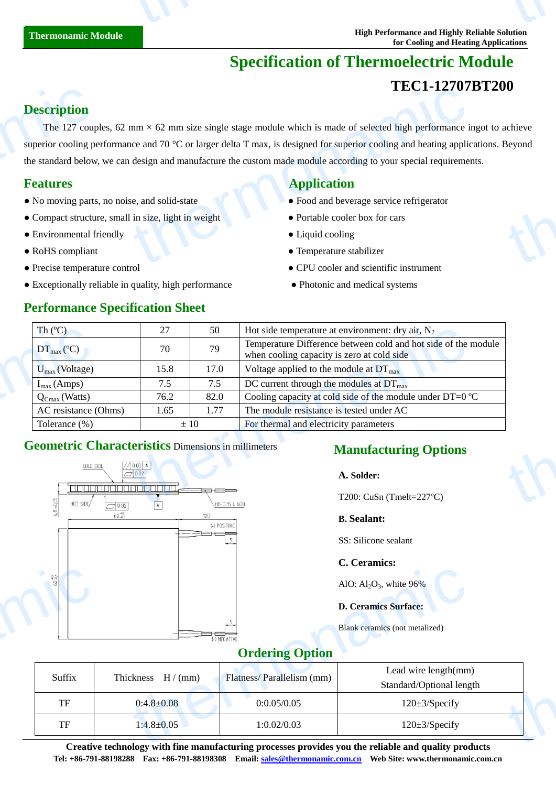# **Specification of Thermoelectric Module**

# **TEC1-12707BT200**

# **Description**

The 127 couples, 62 mm  $\times$  62 mm size single stage module which is made of selected high performance ingot to achieve superior cooling performance and 70 °C or larger delta T max, is designed for superior cooling and heating applications. Beyond the standard below, we can design and manufacture the custom made module according to your special requirements. **Description**<br>The 127 coup<br>superior cooling po<br>the standard below<br>**Features**<br>• No moving parts<br>• Compact structu<br>• Environmental f  $\text{L}_{\text{L}}$  and 70 °C or larger delta T max, is designed for superior cooling and heating applices and 70 °C or larger delta T max, is designed for superior cooling and heating applices design and manufacture the custom thermonamic

- No moving parts, no noise, and solid-state **•** Food and beverage service refrigerator
- Compact structure, small in size, light in weight Portable cooler box for cars
- Environmental friendly **COO** Liquid cooling
- 
- 
- Exceptionally reliable in quality, high performance Photonic and medical systems

### **Performance Specification Sheet**

# **Features Application Application**

- 
- 
- 
- RoHS compliant Temperature stabilizer
- Precise temperature control CPU cooler and scientific instrument
	-

| Th $(C)$                                                   | 27   | 50                                                             | Hot side temperature at environment: dry air, $N_2$                                                          |  |  |
|------------------------------------------------------------|------|----------------------------------------------------------------|--------------------------------------------------------------------------------------------------------------|--|--|
| $DT_{\text{max}}(\mathbb{C})$                              | 70   | 79                                                             | Temperature Difference between cold and hot side of the module<br>when cooling capacity is zero at cold side |  |  |
| $U_{\text{max}}$ (Voltage)                                 | 15.8 | 17.0                                                           | Voltage applied to the module at $DT_{\text{max}}$                                                           |  |  |
| $I_{max}(Amps)$                                            | 7.5  | 7.5                                                            | DC current through the modules at $DT_{\text{max}}$                                                          |  |  |
| $Q_{Cmax}$ (Watts)                                         | 76.2 | 82.0                                                           | Cooling capacity at cold side of the module under DT=0 $\mathbb{C}$                                          |  |  |
| AC resistance (Ohms)                                       | 1.65 | The module resistance is tested under AC<br>1.77               |                                                                                                              |  |  |
| Tolerance $(\%)$<br>$\pm 10$                               |      |                                                                | For thermal and electricity parameters                                                                       |  |  |
| <b>Geometric Characteristics Dimensions in millimeters</b> |      |                                                                | <b>Manufacturing Options</b>                                                                                 |  |  |
| $\frac{7}{\sqrt{2002}}$<br>COLD SIDE                       |      | A. Solder:                                                     |                                                                                                              |  |  |
| ه امره امره امره امره امره امره امره ام<br>$-$ 002         |      | la com<br>T200: CuSn (Tmelt=227 $\mathbb{C}$ )<br>HB-035 4 600 |                                                                                                              |  |  |

# **Geometric Characteristics** Dimensions in millimeters



# **Manufacturing Options**

### **A. Solder:**

#### **B. Sealant:**

SS: Silicone sealant

### **C. Ceramics:**

## **Ordering Option**

| $\frac{15}{9}$ |                    |                           | AlO: $Al_2O_3$ , white 96%                                                                                                       |  |
|----------------|--------------------|---------------------------|----------------------------------------------------------------------------------------------------------------------------------|--|
|                |                    |                           | <b>D. Ceramics Surface:</b>                                                                                                      |  |
|                |                    | (-) NEGATIVE              | Blank ceramics (not metalized)                                                                                                   |  |
|                |                    | <b>Ordering Option</b>    |                                                                                                                                  |  |
| Suffix         | Thickness $H/(mm)$ | Flatness/Parallelism (mm) | Lead wire length(mm)<br>Standard/Optional length                                                                                 |  |
| TF             | $0:4.8 \pm 0.08$   | 0:0.05/0.05               | $120 \pm 3$ /Specify                                                                                                             |  |
| TF             | $1:4.8 \pm 0.05$   | 1:0.02/0.03               | 120±3/Specify                                                                                                                    |  |
|                |                    |                           | $\alpha$ and the state of the $\alpha$ -state $\beta$ and the construction of the contribution of a set of the state of $\alpha$ |  |

**Creative technology with fine manufacturing processes provides you the reliable and quality products Tel: +86-791-88198288 Fax: +86-791-88198308 Email: sales@thermonamic.com.cn Web Site: www.thermonamic.com.cn**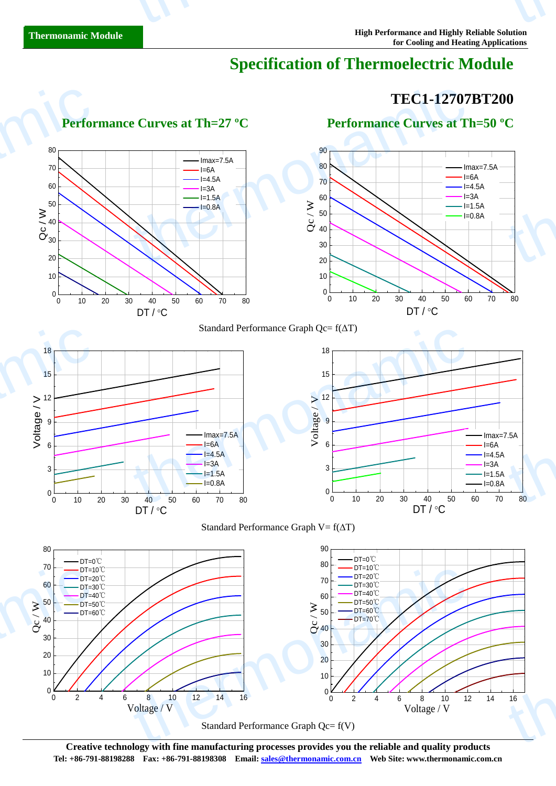# **Specification of Thermoelectric Module**

# **TEC1-12707BT200**

0 2 4 6 8 10 12 14 16

Voltage / V



 **Performance Curves at Th=27 <sup>°</sup>C Performance Curves at Th=50 <sup>°</sup>C** 

Standard Performance Graph Qc= f(V)

**Creative technology with fine manufacturing processes provides you the reliable and quality products Tel: +86-791-88198288 Fax: +86-791-88198308 Email: sales@thermonamic.com.cn Web Site: www.thermonamic.com.cn**